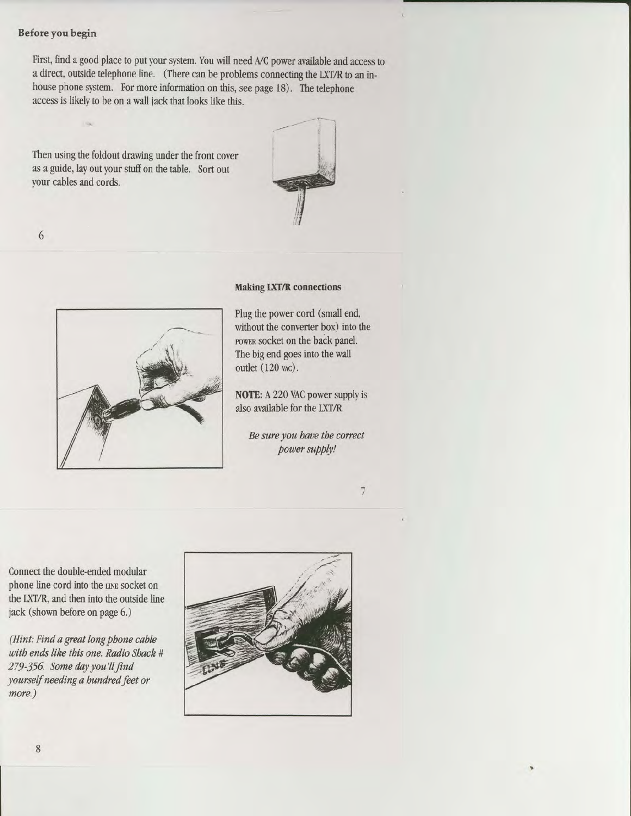# Before you begin

First, find a good place to put your system. You will need A/C power available and access to a direct, outside telephone line. (There can be problems connecting the IXI/R to an inhouse phone system. For more information on this, see page 18). The telephone access is likely to be on a wall jack that looks like this.

Then using the foldout drawing under the front cover as a guide, lay out your stuff on the table. Sort out your cables and cords.



6



#### **Making LXT/R connections**

Plug the power cord (small end, without the converter box) into the power socket on the back panel. The big end goes into the wall outlet (120 vAC).

NOTE: A 220 VAC power supply is also available for the LXT/R.

Be sure you have the correct power supply!

 $\overline{7}$ 

Connect the double-ended modular phone line cord into the LINE socket on the IXT/R, and then into the outside line jack (shown before on page 6.)

(Hint: Find a great long pbone cable with ends like this one. Radio Shack # 279-356. Some day you'll find yourself needing a hundred feet or more.)

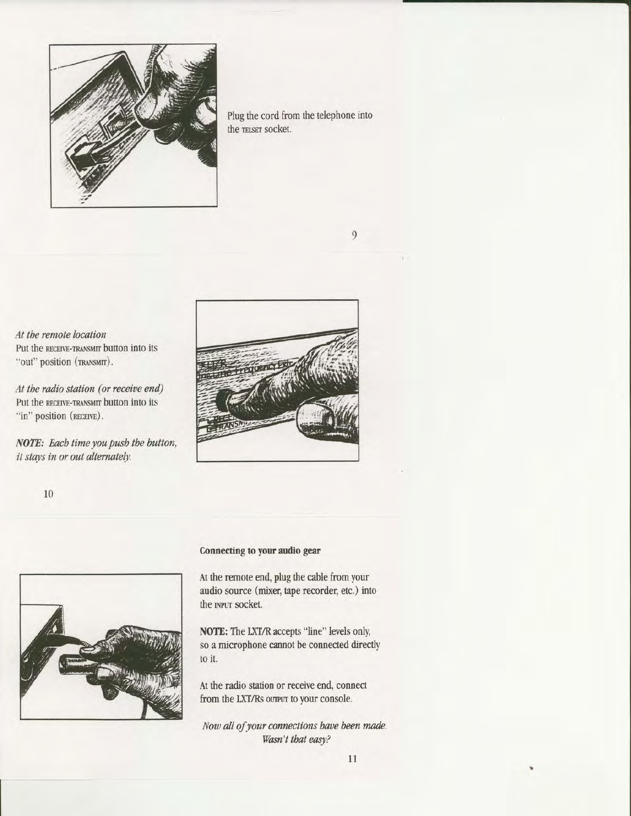

Plug the cord from the telephone into the TELSET socket.

 $\overline{9}$ 

At tbe remote location Put the RECEIVE-TRANSMIT button into its "out" position (TRANSMIT).

At the radio station (or receive end) Put the RECEIVE-TRANSMIT button into its "in" position (RECEIVE).

NOTE: Each time you push the button, it stays in or out alternately.



10



# Connecting to your audio gear

At the remote end, plug the cable from your audio source (mixer, tape recorder, etc.) into the **INPUT** socket.

NOTE: The LXT/R accepts "line" levels only, so a microphone cannot be connected directly to it.

At the radio station 0r receive end, connect from the LXT/Rs ourput to your console.

Now all of your connections have been made. Wasn't that easy?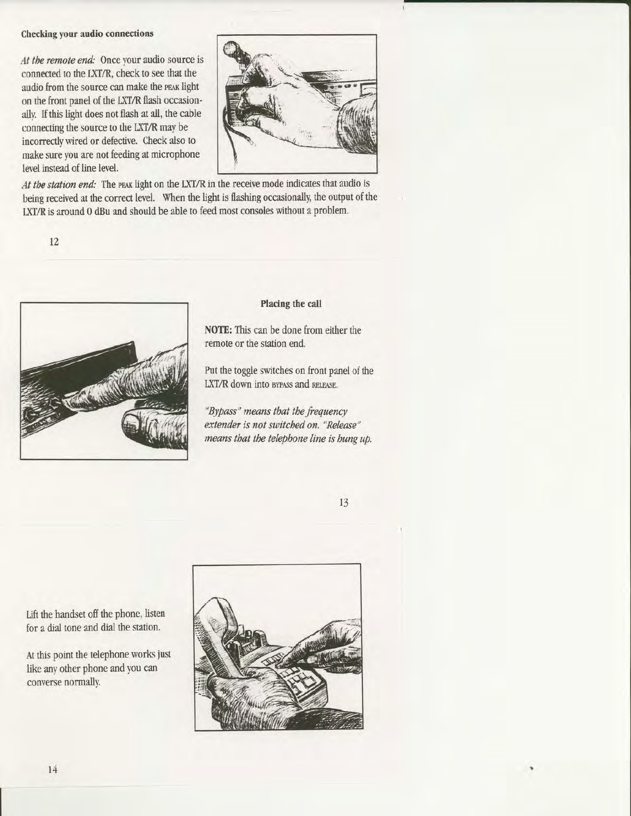## Checking your audio connections

At the remote end: Once your audio source is connected to the IXI/R, check to see that the audio from the source can make the PEAK light on the front panel of the LXT/R flash occasionally. If this light does not flash at all, the cable connecting the source to the IXI/R mav be incorrectly wired or defective. Check also to make sure you are not feeding at microphone level instead of line level.



At the station end: The PEAK light on the LXT/R in the receive mode indicates that audio is being received at the correct level. When the light is flashing occasionally, the output of the IXI/R is around 0 dBu and should be able to feed most consoles without a problem.

12



#### Placing the call

NOTE: This can be done from either the remote or the station end.

Put the toggle switches on front panel of the LXT/R down into bypass and release.

"Bypass" means that the frequency extender is not switched on. "Release" means that the telephone line is hung up.



Lift the handset off the phone, listen for a dial tone and dial the station.

At this point the telephone works just like any other phone and you can converse normally.